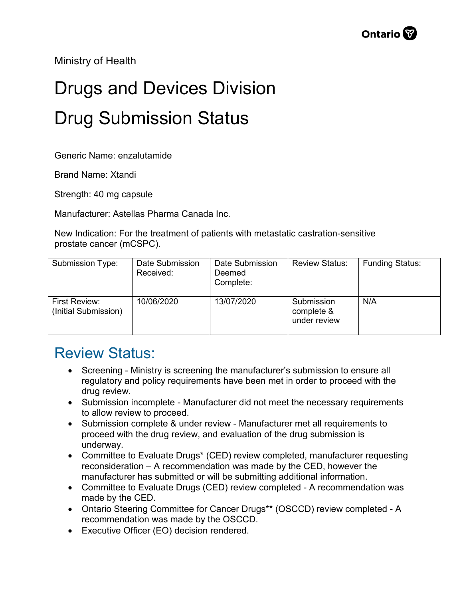Ministry of Health

## Drugs and Devices Division Drug Submission Status

Generic Name: enzalutamide

Brand Name: Xtandi

Strength: 40 mg capsule

Manufacturer: Astellas Pharma Canada Inc.

New Indication: For the treatment of patients with metastatic castration-sensitive prostate cancer (mCSPC).

| Submission Type:                      | Date Submission<br>Received: | Date Submission<br>Deemed<br>Complete: | <b>Review Status:</b>                    | <b>Funding Status:</b> |
|---------------------------------------|------------------------------|----------------------------------------|------------------------------------------|------------------------|
| First Review:<br>(Initial Submission) | 10/06/2020                   | 13/07/2020                             | Submission<br>complete &<br>under review | N/A                    |

## Review Status:

- Screening Ministry is screening the manufacturer's submission to ensure all regulatory and policy requirements have been met in order to proceed with the drug review.
- Submission incomplete Manufacturer did not meet the necessary requirements to allow review to proceed.
- Submission complete & under review Manufacturer met all requirements to proceed with the drug review, and evaluation of the drug submission is underway.
- Committee to Evaluate Drugs\* (CED) review completed, manufacturer requesting reconsideration – A recommendation was made by the CED, however the manufacturer has submitted or will be submitting additional information.
- Committee to Evaluate Drugs (CED) review completed A recommendation was made by the CED.
- Ontario Steering Committee for Cancer Drugs\*\* (OSCCD) review completed A recommendation was made by the OSCCD.
- Executive Officer (EO) decision rendered.